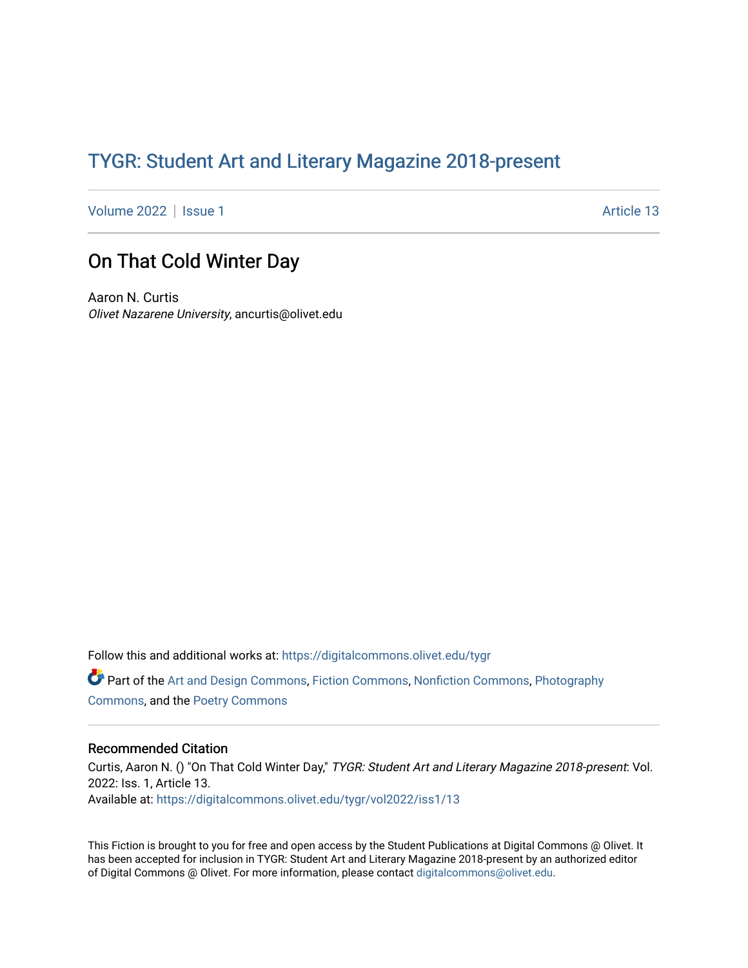## TYGR: Student Art and Literary Magazine 2018-present

[Volume 2022](https://digitalcommons.olivet.edu/tygr/vol2022) | [Issue 1](https://digitalcommons.olivet.edu/tygr/vol2022/iss1) Article 13

## On That Cold Winter Day

Aaron N. Curtis Olivet Nazarene University, ancurtis@olivet.edu

Follow this and additional works at: [https://digitalcommons.olivet.edu/tygr](https://digitalcommons.olivet.edu/tygr?utm_source=digitalcommons.olivet.edu%2Ftygr%2Fvol2022%2Fiss1%2F13&utm_medium=PDF&utm_campaign=PDFCoverPages) Part of the [Art and Design Commons](http://network.bepress.com/hgg/discipline/1049?utm_source=digitalcommons.olivet.edu%2Ftygr%2Fvol2022%2Fiss1%2F13&utm_medium=PDF&utm_campaign=PDFCoverPages), [Fiction Commons](http://network.bepress.com/hgg/discipline/1151?utm_source=digitalcommons.olivet.edu%2Ftygr%2Fvol2022%2Fiss1%2F13&utm_medium=PDF&utm_campaign=PDFCoverPages), [Nonfiction Commons,](http://network.bepress.com/hgg/discipline/1152?utm_source=digitalcommons.olivet.edu%2Ftygr%2Fvol2022%2Fiss1%2F13&utm_medium=PDF&utm_campaign=PDFCoverPages) [Photography](http://network.bepress.com/hgg/discipline/1142?utm_source=digitalcommons.olivet.edu%2Ftygr%2Fvol2022%2Fiss1%2F13&utm_medium=PDF&utm_campaign=PDFCoverPages) [Commons](http://network.bepress.com/hgg/discipline/1142?utm_source=digitalcommons.olivet.edu%2Ftygr%2Fvol2022%2Fiss1%2F13&utm_medium=PDF&utm_campaign=PDFCoverPages), and the [Poetry Commons](http://network.bepress.com/hgg/discipline/1153?utm_source=digitalcommons.olivet.edu%2Ftygr%2Fvol2022%2Fiss1%2F13&utm_medium=PDF&utm_campaign=PDFCoverPages)

## Recommended Citation

Curtis, Aaron N. () "On That Cold Winter Day," TYGR: Student Art and Literary Magazine 2018-present: Vol. 2022: Iss. 1, Article 13. Available at: [https://digitalcommons.olivet.edu/tygr/vol2022/iss1/13](https://digitalcommons.olivet.edu/tygr/vol2022/iss1/13?utm_source=digitalcommons.olivet.edu%2Ftygr%2Fvol2022%2Fiss1%2F13&utm_medium=PDF&utm_campaign=PDFCoverPages) 

This Fiction is brought to you for free and open access by the Student Publications at Digital Commons @ Olivet. It has been accepted for inclusion in TYGR: Student Art and Literary Magazine 2018-present by an authorized editor of Digital Commons @ Olivet. For more information, please contact [digitalcommons@olivet.edu.](mailto:digitalcommons@olivet.edu)